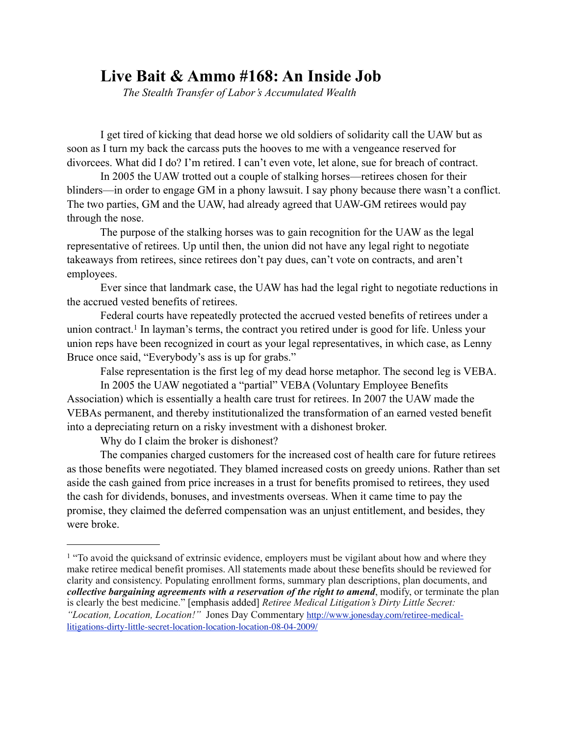## **Live Bait & Ammo #168: An Inside Job** *The Stealth Transfer of Labor's Accumulated Wealth*

 I get tired of kicking that dead horse we old soldiers of solidarity call the UAW but as soon as I turn my back the carcass puts the hooves to me with a vengeance reserved for divorcees. What did I do? I'm retired. I can't even vote, let alone, sue for breach of contract.

 In 2005 the UAW trotted out a couple of stalking horses—retirees chosen for their blinders—in order to engage GM in a phony lawsuit. I say phony because there wasn't a conflict. The two parties, GM and the UAW, had already agreed that UAW-GM retirees would pay through the nose.

 The purpose of the stalking horses was to gain recognition for the UAW as the legal representative of retirees. Up until then, the union did not have any legal right to negotiate takeaways from retirees, since retirees don't pay dues, can't vote on contracts, and aren't employees.

 Ever since that landmark case, the UAW has had the legal right to negotiate reductions in the accrued vested benefits of retirees.

 Federal courts have repeatedly protected the accrued vested benefits of retirees under a union contract.<sup>1</sup> In layman's terms, the contract you retired under is good for life. Unless your union reps have been recognized in court as your legal representatives, in which case, as Lenny Bruce once said, "Everybody's ass is up for grabs."

False representation is the first leg of my dead horse metaphor. The second leg is VEBA.

 In 2005 the UAW negotiated a "partial" VEBA (Voluntary Employee Benefits Association) which is essentially a health care trust for retirees. In 2007 the UAW made the VEBAs permanent, and thereby institutionalized the transformation of an earned vested benefit into a depreciating return on a risky investment with a dishonest broker.

Why do I claim the broker is dishonest?

 The companies charged customers for the increased cost of health care for future retirees as those benefits were negotiated. They blamed increased costs on greedy unions. Rather than set aside the cash gained from price increases in a trust for benefits promised to retirees, they used the cash for dividends, bonuses, and investments overseas. When it came time to pay the promise, they claimed the deferred compensation was an unjust entitlement, and besides, they were broke.

<span id="page-0-0"></span><sup>&</sup>lt;sup>1</sup> "To avoid the quicksand of extrinsic evidence, employers must be vigilant about how and where they make retiree medical benefit promises. All statements made about these benefits should be reviewed for clarity and consistency. Populating enrollment forms, summary plan descriptions, plan documents, and *collective bargaining agreements with a reservation of the right to amend*, modify, or terminate the plan is clearly the best medicine." [emphasis added] *Retiree Medical Litigation's Dirty Little Secret: "Location, Location, Location!"* Jones Day Commentary [http://www.jonesday.com/retiree-medical](http://www.jonesday.com/retiree-medical-litigations-dirty-little-secret-location-location-location-08-04-2009/)[litigations-dirty-little-secret-location-location-location-08-04-2009/](http://www.jonesday.com/retiree-medical-litigations-dirty-little-secret-location-location-location-08-04-2009/)